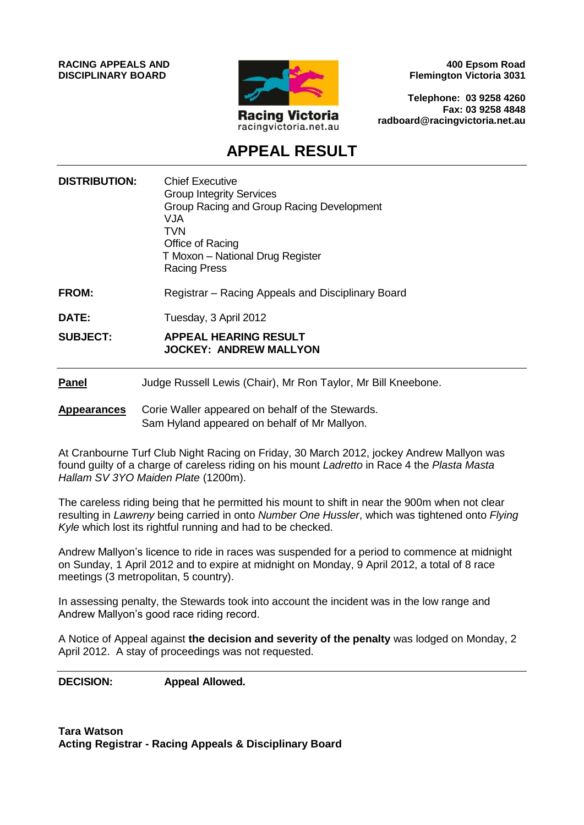**RACING APPEALS AND DISCIPLINARY BOARD**



**400 Epsom Road Flemington Victoria 3031**

**Telephone: 03 9258 4260 Fax: 03 9258 4848 radboard@racingvictoria.net.au**

# **APPEAL RESULT**

- **DISTRIBUTION:** Chief Executive Group Integrity Services Group Racing and Group Racing Development VJA TVN Office of Racing T Moxon – National Drug Register Racing Press
- **FROM:** Registrar Racing Appeals and Disciplinary Board
- **DATE:** Tuesday, 3 April 2012

**SUBJECT: APPEAL HEARING RESULT JOCKEY: ANDREW MALLYON**

#### **Panel** Judge Russell Lewis (Chair), Mr Ron Taylor, Mr Bill Kneebone.

#### **Appearances** Corie Waller appeared on behalf of the Stewards. Sam Hyland appeared on behalf of Mr Mallyon.

At Cranbourne Turf Club Night Racing on Friday, 30 March 2012, jockey Andrew Mallyon was found guilty of a charge of careless riding on his mount *Ladretto* in Race 4 the *Plasta Masta Hallam SV 3YO Maiden Plate* (1200m).

The careless riding being that he permitted his mount to shift in near the 900m when not clear resulting in *Lawreny* being carried in onto *Number One Hussler*, which was tightened onto *Flying Kyle* which lost its rightful running and had to be checked.

Andrew Mallyon's licence to ride in races was suspended for a period to commence at midnight on Sunday, 1 April 2012 and to expire at midnight on Monday, 9 April 2012, a total of 8 race meetings (3 metropolitan, 5 country).

In assessing penalty, the Stewards took into account the incident was in the low range and Andrew Mallyon's good race riding record.

A Notice of Appeal against **the decision and severity of the penalty** was lodged on Monday, 2 April 2012. A stay of proceedings was not requested.

**DECISION: Appeal Allowed.**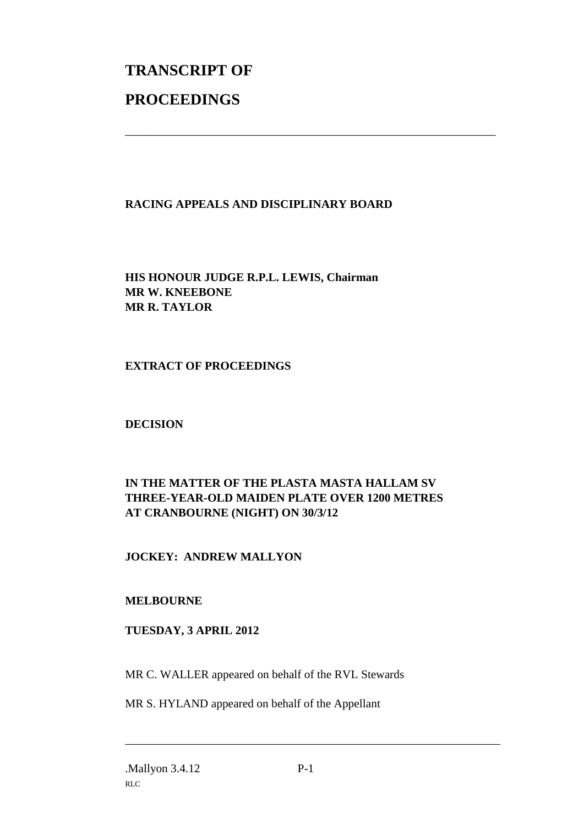# **TRANSCRIPT OF PROCEEDINGS**

## **RACING APPEALS AND DISCIPLINARY BOARD**

\_\_\_\_\_\_\_\_\_\_\_\_\_\_\_\_\_\_\_\_\_\_\_\_\_\_\_\_\_\_\_\_\_\_\_\_\_\_\_\_\_\_\_\_\_\_\_\_\_\_\_\_\_\_\_\_\_\_\_\_\_\_\_

**HIS HONOUR JUDGE R.P.L. LEWIS, Chairman MR W. KNEEBONE MR R. TAYLOR**

**EXTRACT OF PROCEEDINGS**

**DECISION**

# **IN THE MATTER OF THE PLASTA MASTA HALLAM SV THREE-YEAR-OLD MAIDEN PLATE OVER 1200 METRES AT CRANBOURNE (NIGHT) ON 30/3/12**

## **JOCKEY: ANDREW MALLYON**

## **MELBOURNE**

#### **TUESDAY, 3 APRIL 2012**

MR C. WALLER appeared on behalf of the RVL Stewards

MR S. HYLAND appeared on behalf of the Appellant